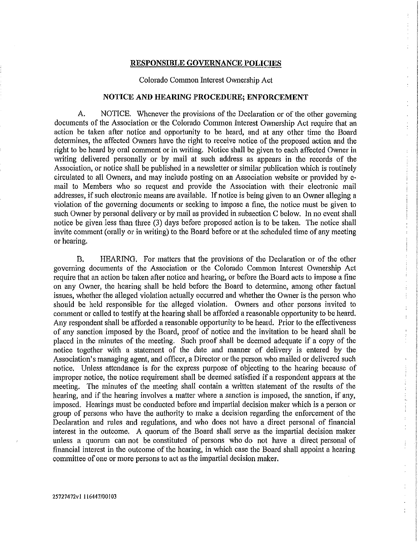#### **RESPONSIBLE GOVERNANCE POLICIES**

#### Colorado Common Interest Ownership Act

ċ

 $\ddot{\cdot}$ 

ŧ ŧ

÷

### **NOTICE AND HEARING PROCEDURE; ENFORCEMENT**

A. NOTICE. Whenever the provisions of the Declaration or of the other governing documents of the Association or the Colorado Common Interest Ownership Act require that an action be taken after notice and opportunity to be heard, and at any other time the Board determines, the affected Owners have the right to receive notice of the proposed action and the right to be heard by oral comment or in writing. Notice shall be given to each affected Owner in writing delivered personally or by mail at such address as appears in the records of the Association, or notice shall be published in a newsletter or similar publication which is routinely circulated to all Owners, and may include posting on an Association website or provided by email to Members who so request and provide the Association with their electronic mail addresses, if such electronic means are available. If notice is being given to an Owner alleging a violation of the governing documents or seeking to impose a fine, the notice must be given to such Owner by personal delivery or by mail as provided in subsection C below. In no event shall notice be given less than three (3) days before proposed action is to be taken. The notice shall invite comment (orally or in writing) to the Board before or at the scheduled time of any meeting or hearing.

B. HEARING. For matters that the provisions of the Declaration or of the other governing documents of the Association or the Colorado Common Interest Ownership Act require that an action be taken after notice and hearing, or before the Board acts to impose a fine on any Owner, the hearing shall be held before the Board to determine, among other factual issues, whether the alleged violation actually occurred and whether the Owner is the person who should be held responsible for the alleged violation. Owners and other persons invited to comment or called to testify at the hearing shall be afforded a reasonable opportunity to be heard. Any respondent shall be afforded a reasonable opportunity to be heard. Prior to the effectiveness of any sanction imposed by the Board, proof of notice and the invitation to be heard shall be placed in the minutes of the meeting. Such proof shall be deemed adequate if a copy of the notice together with a statement of the date and maimer of delivery is entered by the Association's managing agent, and officer, a Director or the person who mailed or delivered such notice, Unless attendance is for the express purpose of objecting to the hearing because of improper notice, the notice requirement shall be deemed satisfied if a respondent appears at the meeting. The minutes of the meeting shall contain a written statement of the results of the hearing, and if the hearing involves a matter where a sanction is imposed, the sanction, if any, imposed. Hearings must be conducted before and impartial decision maker which is a person or group of persons who have the authority to make a decision regarding the enforcement of the Declaration and rules and regulations, and who does not have a direct personal of financial interest in the outcome, A quorum of the Board shall serve as the impartial decision maker unless a quorum can not be constituted of persons who do not have a direct personal of financial interest in the outcome of the hearing, in which case the Board shall appoint a hearing committee of one or more persons to act as the impartial decision maker.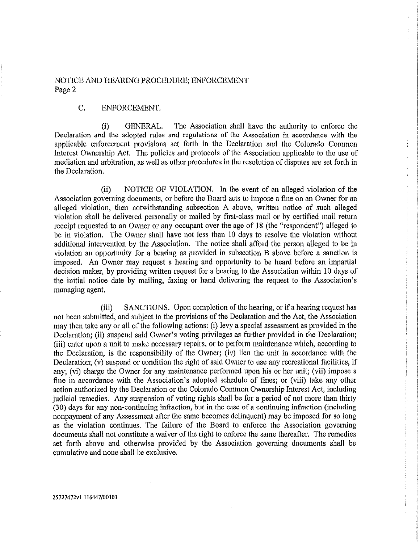# NOTICE AND HEARING PROCEDURE; ENFORCEMENT Page 2

# C. ENFORCEMENT.

(i) GENERAL. The Association shall have the authority to enforce the Declaration and the adopted rules and regulations of the Association in accordance with the applicable enforcement provisions set forth in the Declaration and the Colorado Common Interest Ownership Act. The policies and protocols of the Association applicable to the use of mediation and arbitration, as well as other procedures in the resolution of disputes are set forth in the Declaration.

(ii) NOTICE OF VIOLATION. In the event of an alleged violation of the Association governing documents, or before the Board acts to impose a fine on an Owner for an alleged violation, then notwithstanding subsection A above, written notice of such alleged violation shall be delivered personally or mailed by first-class mail or by certified mail return receipt requested to an Owner or any occupant over the age of 18 (the "respondent") alleged to be in violation, The Owner shall have not less than 10 days to resolve the violation without additional intervention by the Association. The notice shall afford the person alleged to be in violation an opportunity for a hearing as provided in subsection B above before a sanction is imposed. An Owner *may* request a hearing and opportunity to be heard before an impartial decision maker, by providing written request for a hearing to the Association within 10 days of the initial notice date by mailing, faxing or hand delivering the request to the Association's managing agent.

(iii) SANCTIONS. Upon completion of the hearing, or if a hearing request has not been submitted, and subject to the provisions of the Declaration and the Act, the Association may then take any or all of the following actions: (i) levy a special assessment as provided in the Declaration; (ii) suspend said Owner's voting privileges as further provided in the Declaration; (iii) enter upon a unit to make necessary repairs, or to perform maintenance which, according to the Declaration, is the responsibility of the Owner; (iv) lien the unit in accordance with the Declaration; (v) suspend or condition the right of said Owner to use any recreational facilities, if any; (vi) charge the Owner for any maintenance performed upon his or her unit; (vii) impose a fine in accordance with the Association's adopted schedule of fines; or (viii) take any other action authorized by the Declaration or the Colorado Common Ownership Interest Act, including judicial remedies. Any suspension of voting rights shall be for a period of not more than thirty (30) days for any non-continuing infraction, but in the ease of a continuing infraction (including nonpayment of any Assessment after the same becomes delinquent) may be imposed for so long as the violation continues. The failure of the Board to enforce the Association governing documents shall not constitute a waiver of the right to enforce the same thereafter. The remedies set forth above and otherwise provided by the Association governing documents shall be cumulative and none shall be exclusive.